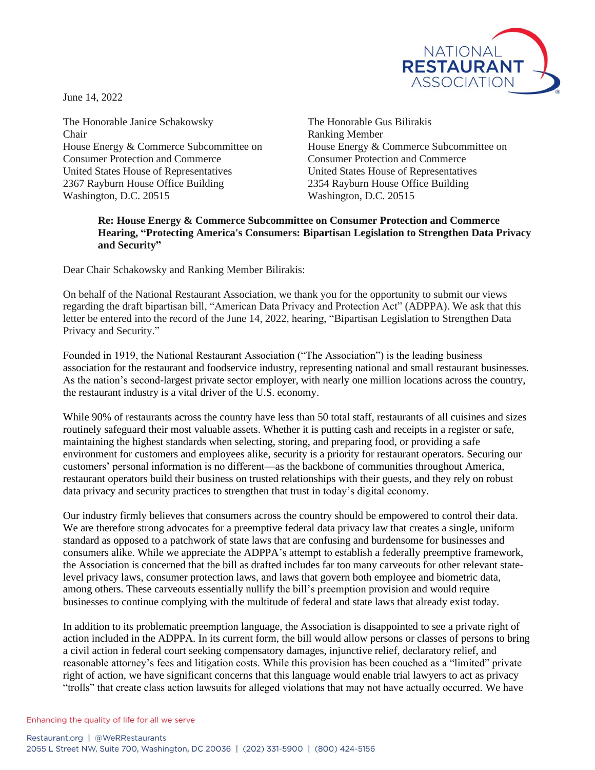

June 14, 2022

The Honorable Janice Schakowsky The Honorable Gus Bilirakis Chair Ranking Member Consumer Protection and Commerce Consumer Protection and Commerce United States House of Representatives United States House of Representatives 2367 Rayburn House Office Building 2354 Rayburn House Office Building Washington, D.C. 20515 Washington, D.C. 20515

House Energy & Commerce Subcommittee on House Energy & Commerce Subcommittee on

## **Re: House Energy & Commerce Subcommittee on Consumer Protection and Commerce Hearing, "Protecting America's Consumers: Bipartisan Legislation to Strengthen Data Privacy and Security"**

Dear Chair Schakowsky and Ranking Member Bilirakis:

On behalf of the National Restaurant Association, we thank you for the opportunity to submit our views regarding the draft bipartisan bill, "American Data Privacy and Protection Act" (ADPPA). We ask that this letter be entered into the record of the June 14, 2022, hearing, "Bipartisan Legislation to Strengthen Data Privacy and Security."

Founded in 1919, the National Restaurant Association ("The Association") is the leading business association for the restaurant and foodservice industry, representing national and small restaurant businesses. As the nation's second-largest private sector employer, with nearly one million locations across the country, the restaurant industry is a vital driver of the U.S. economy.

While 90% of restaurants across the country have less than 50 total staff, restaurants of all cuisines and sizes routinely safeguard their most valuable assets. Whether it is putting cash and receipts in a register or safe, maintaining the highest standards when selecting, storing, and preparing food, or providing a safe environment for customers and employees alike, security is a priority for restaurant operators. Securing our customers' personal information is no different––as the backbone of communities throughout America, restaurant operators build their business on trusted relationships with their guests, and they rely on robust data privacy and security practices to strengthen that trust in today's digital economy.

Our industry firmly believes that consumers across the country should be empowered to control their data. We are therefore strong advocates for a preemptive federal data privacy law that creates a single, uniform standard as opposed to a patchwork of state laws that are confusing and burdensome for businesses and consumers alike. While we appreciate the ADPPA's attempt to establish a federally preemptive framework, the Association is concerned that the bill as drafted includes far too many carveouts for other relevant statelevel privacy laws, consumer protection laws, and laws that govern both employee and biometric data, among others. These carveouts essentially nullify the bill's preemption provision and would require businesses to continue complying with the multitude of federal and state laws that already exist today.

In addition to its problematic preemption language, the Association is disappointed to see a private right of action included in the ADPPA. In its current form, the bill would allow persons or classes of persons to bring a civil action in federal court seeking compensatory damages, injunctive relief, declaratory relief, and reasonable attorney's fees and litigation costs. While this provision has been couched as a "limited" private right of action, we have significant concerns that this language would enable trial lawyers to act as privacy "trolls" that create class action lawsuits for alleged violations that may not have actually occurred. We have